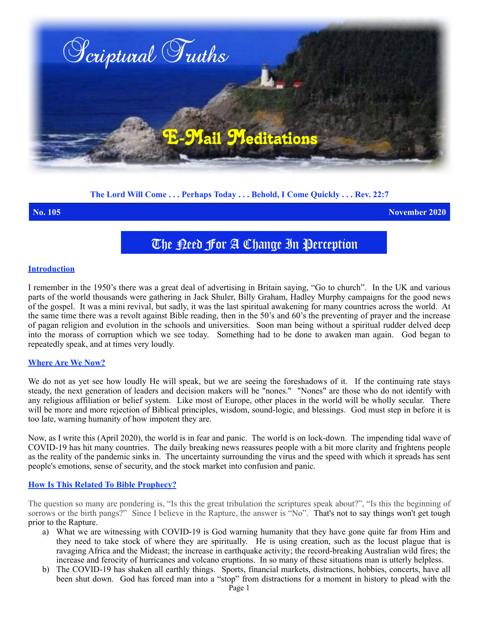

# **The Lord Will Come . . . Perhaps Today . . . Behold, I Come Quickly . . . Rev. 22:7**

**No. 105 November 2020**

# The Deed For A Change In Perception

#### **Introduction**

I remember in the 1950's there was a great deal of advertising in Britain saying, "Go to church". In the UK and various parts of the world thousands were gathering in Jack Shuler, Billy Graham, Hadley Murphy campaigns for the good news of the gospel. It was a mini revival, but sadly, it was the last spiritual awakening for many countries across the world. At the same time there was a revolt against Bible reading, then in the 50's and 60's the preventing of prayer and the increase of pagan religion and evolution in the schools and universities. Soon man being without a spiritual rudder delved deep into the morass of corruption which we see today. Something had to be done to awaken man again. God began to repeatedly speak, and at times very loudly.

# **Where Are We Now?**

We do not as yet see how loudly He will speak, but we are seeing the foreshadows of it. If the continuing rate stays steady, the next generation of leaders and decision makers will be "nones." "Nones" are those who do not identify with any religious affiliation or belief system. Like most of Europe, other places in the world will be wholly secular. There will be more and more rejection of Biblical principles, wisdom, sound-logic, and blessings. God must step in before it is too late, warning humanity of how impotent they are.

Now, as I write this (April 2020), the world is in fear and panic. The world is on lock-down. The impending tidal wave of COVID-19 has hit many countries. The daily breaking news reassures people with a bit more clarity and frightens people as the reality of the pandemic sinks in. The uncertainty surrounding the virus and the speed with which it spreads has sent people's emotions, sense of security, and the stock market into confusion and panic.

# **How Is This Related To Bible Prophecy?**

The question so many are pondering is, "Is this the great tribulation the scriptures speak about?", "Is this the beginning of sorrows or the birth pangs?" Since I believe in the Rapture, the answer is "No". That's not to say things won't get tough prior to the Rapture.

- a) What we are witnessing with COVID-19 is God warning humanity that they have gone quite far from Him and they need to take stock of where they are spiritually. He is using creation, such as the locust plague that is ravaging Africa and the Mideast; the increase in earthquake activity; the record-breaking Australian wild fires; the increase and ferocity of hurricanes and volcano eruptions. In so many of these situations man is utterly helpless.
- b) The COVID-19 has shaken all earthly things. Sports, financial markets, distractions, hobbies, concerts, have all been shut down. God has forced man into a "stop" from distractions for a moment in history to plead with the